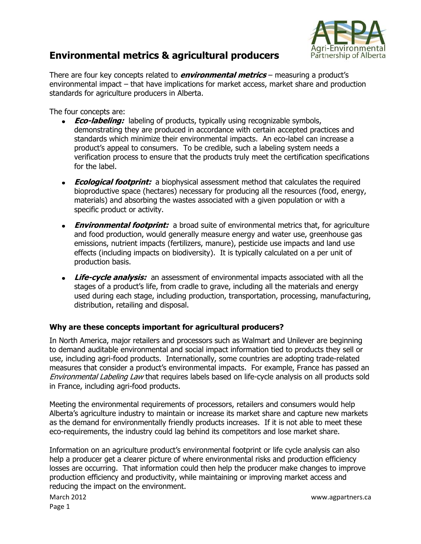

## **Environmental metrics & agricultural producers**

There are four key concepts related to **environmental metrics** – measuring a product's environmental impact – that have implications for market access, market share and production standards for agriculture producers in Alberta.

The four concepts are:

- **Eco-labeling:** labeling of products, typically using recognizable symbols, demonstrating they are produced in accordance with certain accepted practices and standards which minimize their environmental impacts. An eco-label can increase a product's appeal to consumers. To be credible, such a labeling system needs a verification process to ensure that the products truly meet the certification specifications for the label.
- **Ecological footprint:** a biophysical assessment method that calculates the required bioproductive space (hectares) necessary for producing all the resources (food, energy, materials) and absorbing the wastes associated with a given population or with a specific product or activity.
- **Environmental footprint:** a broad suite of environmental metrics that, for agriculture and food production, would generally measure energy and water use, greenhouse gas emissions, nutrient impacts (fertilizers, manure), pesticide use impacts and land use effects (including impacts on biodiversity). It is typically calculated on a per unit of production basis.
- **Life-cycle analysis:** an assessment of environmental impacts associated with all the stages of a product's life, from cradle to grave, including all the materials and energy used during each stage, including production, transportation, processing, manufacturing, distribution, retailing and disposal.

## **Why are these concepts important for agricultural producers?**

In North America, major retailers and processors such as Walmart and Unilever are beginning to demand auditable environmental and social impact information tied to products they sell or use, including agri-food products. Internationally, some countries are adopting trade-related measures that consider a product's environmental impacts. For example, France has passed an Environmental Labeling Law that requires labels based on life-cycle analysis on all products sold in France, including agri-food products.

Meeting the environmental requirements of processors, retailers and consumers would help Alberta's agriculture industry to maintain or increase its market share and capture new markets as the demand for environmentally friendly products increases. If it is not able to meet these eco-requirements, the industry could lag behind its competitors and lose market share.

Information on an agriculture product's environmental footprint or life cycle analysis can also help a producer get a clearer picture of where environmental risks and production efficiency losses are occurring. That information could then help the producer make changes to improve production efficiency and productivity, while maintaining or improving market access and reducing the impact on the environment.